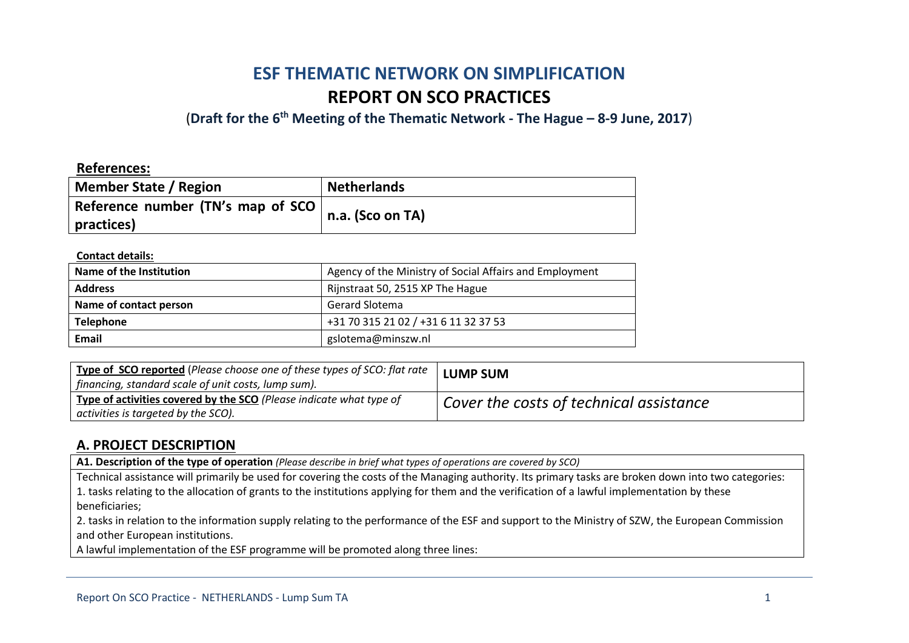# **ESF THEMATIC NETWORK ON SIMPLIFICATION REPORT ON SCO PRACTICES**

(**Draft for the 6th Meeting of the Thematic Network - The Hague – 8-9 June, 2017**)

### **References:**

| Member State / Region             | <b>Netherlands</b> |
|-----------------------------------|--------------------|
| Reference number (TN's map of SCO | n.a. (Sco on TA)   |
| practices)                        |                    |

#### **Contact details:**

| Name of the Institution | Agency of the Ministry of Social Affairs and Employment |
|-------------------------|---------------------------------------------------------|
| <b>Address</b>          | Rijnstraat 50, 2515 XP The Hague                        |
| Name of contact person  | <b>Gerard Slotema</b>                                   |
| <b>Telephone</b>        | +31 70 315 21 02 / +31 6 11 32 37 53                    |
| Email                   | gslotema@minszw.nl                                      |

| Type of SCO reported (Please choose one of these types of SCO: flat rate  <br>  financing, standard scale of unit costs, lump sum). | <b>LUMP SUM</b>                                |
|-------------------------------------------------------------------------------------------------------------------------------------|------------------------------------------------|
| Type of activities covered by the SCO (Please indicate what type of<br>  activities is targeted by the SCO).                        | $\mid$ Cover the costs of technical assistance |

### **A. PROJECT DESCRIPTION**

**A1. Description of the type of operation** *(Please describe in brief what types of operations are covered by SCO)*

Technical assistance will primarily be used for covering the costs of the Managing authority. Its primary tasks are broken down into two categories: 1. tasks relating to the allocation of grants to the institutions applying for them and the verification of a lawful implementation by these beneficiaries;

2. tasks in relation to the information supply relating to the performance of the ESF and support to the Ministry of SZW, the European Commission and other European institutions.

A lawful implementation of the ESF programme will be promoted along three lines: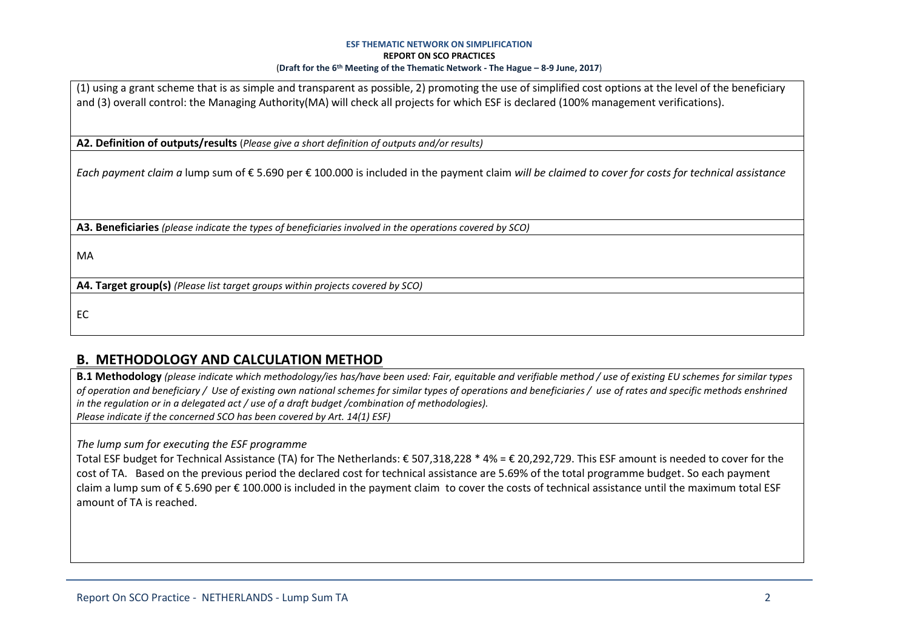#### **ESF THEMATIC NETWORK ON SIMPLIFICATION REPORT ON SCO PRACTICES** (**Draft for the 6th Meeting of the Thematic Network - The Hague – 8-9 June, 2017**)

(1) using a grant scheme that is as simple and transparent as possible, 2) promoting the use of simplified cost options at the level of the beneficiary and (3) overall control: the Managing Authority(MA) will check all projects for which ESF is declared (100% management verifications).

**A2. Definition of outputs/results** (*Please give a short definition of outputs and/or results)*

*Each payment claim a* lump sum of € 5.690 per € 100.000 is included in the payment claim *will be claimed to cover for costs for technical assistance*

**A3. Beneficiaries** *(please indicate the types of beneficiaries involved in the operations covered by SCO)*

MA

**A4. Target group(s)** *(Please list target groups within projects covered by SCO)*

EC

# **B. METHODOLOGY AND CALCULATION METHOD**

**B.1 Methodology** *(please indicate which methodology/ies has/have been used: Fair, equitable and verifiable method / use of existing EU schemes for similar types of operation and beneficiary / Use of existing own national schemes for similar types of operations and beneficiaries / use of rates and specific methods enshrined in the regulation or in a delegated act / use of a draft budget /combination of methodologies). Please indicate if the concerned SCO has been covered by Art. 14(1) ESF)*

*The lump sum for executing the ESF programme*

Total ESF budget for Technical Assistance (TA) for The Netherlands: € 507,318,228 \* 4% = € 20,292,729. This ESF amount is needed to cover for the cost of TA. Based on the previous period the declared cost for technical assistance are 5.69% of the total programme budget. So each payment claim a lump sum of € 5.690 per € 100.000 is included in the payment claim to cover the costs of technical assistance until the maximum total ESF amount of TA is reached.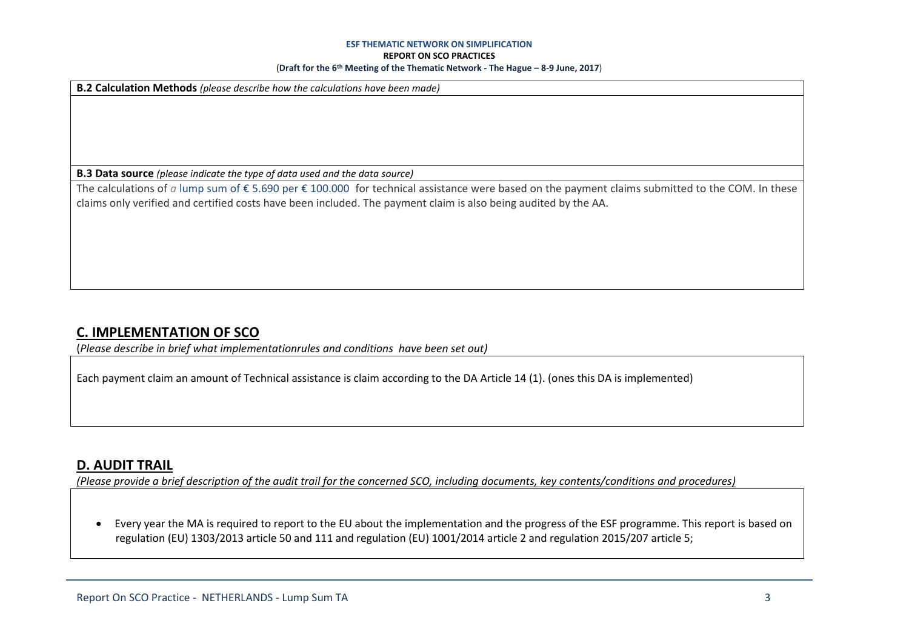#### **ESF THEMATIC NETWORK ON SIMPLIFICATION**

#### **REPORT ON SCO PRACTICES**

#### (**Draft for the 6th Meeting of the Thematic Network - The Hague – 8-9 June, 2017**)

**B.2 Calculation Methods** *(please describe how the calculations have been made)*

**B.3 Data source** *(please indicate the type of data used and the data source)*

The calculations of *a* lump sum of € 5.690 per € 100.000 for technical assistance were based on the payment claims submitted to the COM. In these claims only verified and certified costs have been included. The payment claim is also being audited by the AA.

### **C. IMPLEMENTATION OF SCO**

(*Please describe in brief what implementationrules and conditions have been set out)*

Each payment claim an amount of Technical assistance is claim according to the DA Article 14 (1). (ones this DA is implemented)

### **D. AUDIT TRAIL**

*(Please provide a brief description of the audit trail for the concerned SCO, including documents, key contents/conditions and procedures)*

 Every year the MA is required to report to the EU about the implementation and the progress of the ESF programme. This report is based on regulation (EU) 1303/2013 article 50 and 111 and regulation (EU) 1001/2014 article 2 and regulation 2015/207 article 5;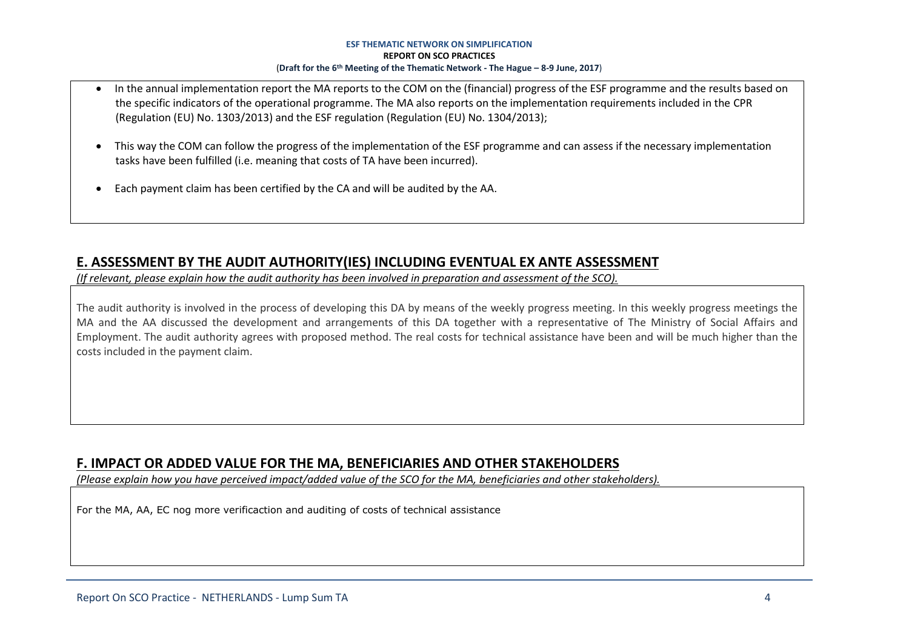#### **ESF THEMATIC NETWORK ON SIMPLIFICATION REPORT ON SCO PRACTICES** (**Draft for the 6th Meeting of the Thematic Network - The Hague – 8-9 June, 2017**)

- In the annual implementation report the MA reports to the COM on the (financial) progress of the ESF programme and the results based on the specific indicators of the operational programme. The MA also reports on the implementation requirements included in the CPR (Regulation (EU) No. 1303/2013) and the ESF regulation (Regulation (EU) No. 1304/2013);
- This way the COM can follow the progress of the implementation of the ESF programme and can assess if the necessary implementation tasks have been fulfilled (i.e. meaning that costs of TA have been incurred).
- Each payment claim has been certified by the CA and will be audited by the AA.

# **E. ASSESSMENT BY THE AUDIT AUTHORITY(IES) INCLUDING EVENTUAL EX ANTE ASSESSMENT**

*(If relevant, please explain how the audit authority has been involved in preparation and assessment of the SCO).* 

The audit authority is involved in the process of developing this DA by means of the weekly progress meeting. In this weekly progress meetings the MA and the AA discussed the development and arrangements of this DA together with a representative of The Ministry of Social Affairs and Employment. The audit authority agrees with proposed method. The real costs for technical assistance have been and will be much higher than the costs included in the payment claim.

# **F. IMPACT OR ADDED VALUE FOR THE MA, BENEFICIARIES AND OTHER STAKEHOLDERS**

*(Please explain how you have perceived impact/added value of the SCO for the MA, beneficiaries and other stakeholders).* 

For the MA, AA, EC nog more verificaction and auditing of costs of technical assistance